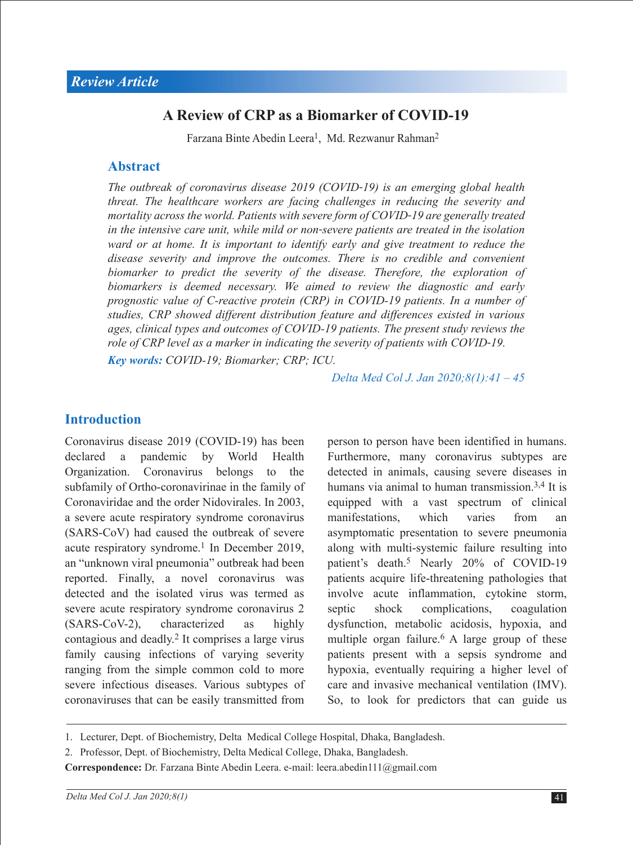# **A Review of CRP as a Biomarker of COVID-19**

Farzana Binte Abedin Leera<sup>1</sup>, Md. Rezwanur Rahman<sup>2</sup>

### **Abstract**

*The outbreak of coronavirus disease 2019 (COVID*‐*19) is an emerging global health threat. The healthcare workers are facing challenges in reducing the severity and mortality across the world. Patients with severe form of COVID*‐*19 are generally treated in the intensive care unit, while mild or non*‐*severe patients are treated in the isolation*  ward or at home. It is important to identify early and give treatment to reduce the *disease severity and improve the outcomes. There is no credible and convenient biomarker to predict the severity of the disease. Therefore, the exploration of biomarkers is deemed necessary. We aimed to review the diagnostic and early prognostic value of C-reactive protein (CRP) in COVID-19 patients. In a number of studies, CRP showed different distribution feature and differences existed in various ages, clinical types and outcomes of COVID-19 patients. The present study reviews the role of CRP level as a marker in indicating the severity of patients with COVID*‐*19.*

*Key words: COVID-19; Biomarker; CRP; ICU.*

*Delta Med Col J. Jan 2020;8(1):41 – 45*

### **Introduction**

Coronavirus disease 2019 (COVID-19) has been declared a pandemic by World Health Organization. Coronavirus belongs to the subfamily of Ortho-coronavirinae in the family of Coronaviridae and the order Nidovirales. In 2003, a severe acute respiratory syndrome coronavirus (SARS-CoV) had caused the outbreak of severe acute respiratory syndrome.<sup>1</sup> In December 2019, an "unknown viral pneumonia" outbreak had been reported. Finally, a novel coronavirus was detected and the isolated virus was termed as severe acute respiratory syndrome coronavirus 2 (SARS-CoV-2), characterized as highly contagious and deadly.2 It comprises a large virus family causing infections of varying severity ranging from the simple common cold to more severe infectious diseases. Various subtypes of coronaviruses that can be easily transmitted from person to person have been identified in humans. Furthermore, many coronavirus subtypes are detected in animals, causing severe diseases in humans via animal to human transmission.<sup>3,4</sup> It is equipped with a vast spectrum of clinical manifestations, which varies from an asymptomatic presentation to severe pneumonia along with multi-systemic failure resulting into patient's death.<sup>5</sup> Nearly 20% of COVID-19 patients acquire life-threatening pathologies that involve acute inflammation, cytokine storm, septic shock complications, coagulation dysfunction, metabolic acidosis, hypoxia, and multiple organ failure.<sup>6</sup> A large group of these patients present with a sepsis syndrome and hypoxia, eventually requiring a higher level of care and invasive mechanical ventilation (IMV). So, to look for predictors that can guide us

<sup>1.</sup> Lecturer, Dept. of Biochemistry, Delta Medical College Hospital, Dhaka, Bangladesh.

<sup>2.</sup> Professor, Dept. of Biochemistry, Delta Medical College, Dhaka, Bangladesh.

**Correspondence:** Dr. Farzana Binte Abedin Leera. e-mail: leera.abedin111@gmail.com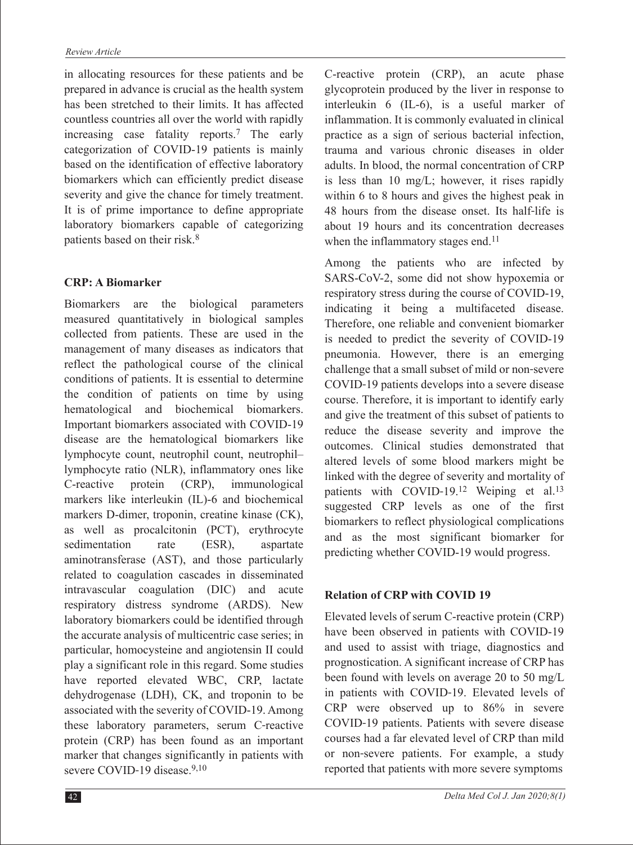in allocating resources for these patients and be prepared in advance is crucial as the health system has been stretched to their limits. It has affected countless countries all over the world with rapidly increasing case fatality reports.7 The early categorization of COVID-19 patients is mainly based on the identification of effective laboratory biomarkers which can efficiently predict disease severity and give the chance for timely treatment. It is of prime importance to define appropriate laboratory biomarkers capable of categorizing patients based on their risk.8

## **CRP: A Biomarker**

Biomarkers are the biological parameters measured quantitatively in biological samples collected from patients. These are used in the management of many diseases as indicators that reflect the pathological course of the clinical conditions of patients. It is essential to determine the condition of patients on time by using hematological and biochemical biomarkers. Important biomarkers associated with COVID-19 disease are the hematological biomarkers like lymphocyte count, neutrophil count, neutrophil– lymphocyte ratio (NLR), inflammatory ones like C-reactive protein (CRP), immunological markers like interleukin (IL)-6 and biochemical markers D-dimer, troponin, creatine kinase (CK), as well as procalcitonin (PCT), erythrocyte sedimentation rate (ESR), aspartate aminotransferase (AST), and those particularly related to coagulation cascades in disseminated intravascular coagulation (DIC) and acute respiratory distress syndrome (ARDS). New laboratory biomarkers could be identified through the accurate analysis of multicentric case series; in particular, homocysteine and angiotensin II could play a significant role in this regard. Some studies have reported elevated WBC, CRP, lactate dehydrogenase (LDH), CK, and troponin to be associated with the severity of COVID-19. Among these laboratory parameters, serum C-reactive protein (CRP) has been found as an important marker that changes significantly in patients with severe COVID-19 disease.<sup>9,10</sup>

C-reactive protein (CRP), an acute phase glycoprotein produced by the liver in response to interleukin 6 (IL-6), is a useful marker of inflammation. It is commonly evaluated in clinical practice as a sign of serious bacterial infection, trauma and various chronic diseases in older adults. In blood, the normal concentration of CRP is less than 10 mg/L; however, it rises rapidly within 6 to 8 hours and gives the highest peak in 48 hours from the disease onset. Its half‐life is about 19 hours and its concentration decreases when the inflammatory stages end.<sup>11</sup>

Among the patients who are infected by SARS-CoV-2, some did not show hypoxemia or respiratory stress during the course of COVID-19, indicating it being a multifaceted disease. Therefore, one reliable and convenient biomarker is needed to predict the severity of COVID-19 pneumonia. However, there is an emerging challenge that a small subset of mild or non‐severe COVID‐19 patients develops into a severe disease course. Therefore, it is important to identify early and give the treatment of this subset of patients to reduce the disease severity and improve the outcomes. Clinical studies demonstrated that altered levels of some blood markers might be linked with the degree of severity and mortality of patients with COVID-19.<sup>12</sup> Weiping et al.<sup>13</sup> suggested CRP levels as one of the first biomarkers to reflect physiological complications and as the most significant biomarker for predicting whether COVID-19 would progress.

### **Relation of CRP with COVID 19**

Elevated levels of serum C-reactive protein (CRP) have been observed in patients with COVID-19 and used to assist with triage, diagnostics and prognostication. A significant increase of CRP has been found with levels on average 20 to 50 mg/L in patients with COVID‐19. Elevated levels of CRP were observed up to 86% in severe COVID‐19 patients. Patients with severe disease courses had a far elevated level of CRP than mild or non‐severe patients. For example, a study reported that patients with more severe symptoms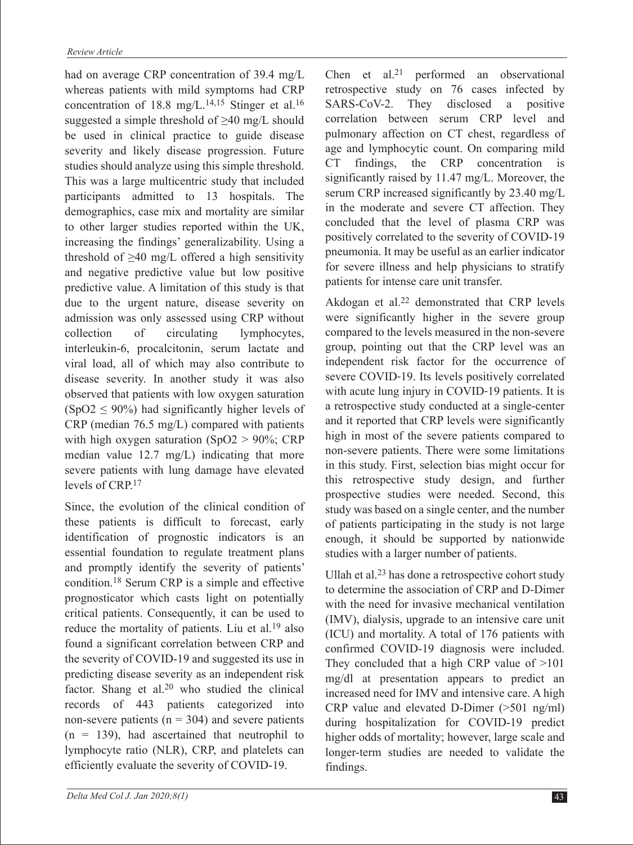had on average CRP concentration of 39.4 mg/L whereas patients with mild symptoms had CRP concentration of 18.8 mg/L.<sup>14,15</sup> Stinger et al.<sup>16</sup> suggested a simple threshold of ≥40 mg/L should be used in clinical practice to guide disease severity and likely disease progression. Future studies should analyze using this simple threshold. This was a large multicentric study that included participants admitted to 13 hospitals. The demographics, case mix and mortality are similar to other larger studies reported within the UK, increasing the findings' generalizability. Using a threshold of  $\geq$ 40 mg/L offered a high sensitivity and negative predictive value but low positive predictive value. A limitation of this study is that due to the urgent nature, disease severity on admission was only assessed using CRP without collection of circulating lymphocytes, interleukin-6, procalcitonin, serum lactate and viral load, all of which may also contribute to disease severity. In another study it was also observed that patients with low oxygen saturation  $(SpO2 \le 90\%)$  had significantly higher levels of CRP (median 76.5 mg/L) compared with patients with high oxygen saturation (SpO2  $>$  90%; CRP median value 12.7 mg/L) indicating that more severe patients with lung damage have elevated levels of CRP<sup>17</sup>

Since, the evolution of the clinical condition of these patients is difficult to forecast, early identification of prognostic indicators is an essential foundation to regulate treatment plans and promptly identify the severity of patients' condition.18 Serum CRP is a simple and effective prognosticator which casts light on potentially critical patients. Consequently, it can be used to reduce the mortality of patients. Liu et al.<sup>19</sup> also found a significant correlation between CRP and the severity of COVID-19 and suggested its use in predicting disease severity as an independent risk factor. Shang et al.20 who studied the clinical records of 443 patients categorized into non-severe patients ( $n = 304$ ) and severe patients  $(n = 139)$ , had ascertained that neutrophil to lymphocyte ratio (NLR), CRP, and platelets can efficiently evaluate the severity of COVID-19.

Chen et al.<sup>21</sup> performed an observational retrospective study on 76 cases infected by SARS-CoV-2. They disclosed a positive correlation between serum CRP level and pulmonary affection on CT chest, regardless of age and lymphocytic count. On comparing mild CT findings, the CRP concentration is significantly raised by 11.47 mg/L. Moreover, the serum CRP increased significantly by 23.40 mg/L in the moderate and severe CT affection. They concluded that the level of plasma CRP was positively correlated to the severity of COVID-19 pneumonia. It may be useful as an earlier indicator for severe illness and help physicians to stratify patients for intense care unit transfer.

Akdogan et al.22 demonstrated that CRP levels were significantly higher in the severe group compared to the levels measured in the non-severe group, pointing out that the CRP level was an independent risk factor for the occurrence of severe COVID‐19. Its levels positively correlated with acute lung injury in COVID-19 patients. It is a retrospective study conducted at a single-center and it reported that CRP levels were significantly high in most of the severe patients compared to non-severe patients. There were some limitations in this study. First, selection bias might occur for this retrospective study design, and further prospective studies were needed. Second, this study was based on a single center, and the number of patients participating in the study is not large enough, it should be supported by nationwide studies with a larger number of patients.

Ullah et al.23 has done a retrospective cohort study to determine the association of CRP and D-Dimer with the need for invasive mechanical ventilation (IMV), dialysis, upgrade to an intensive care unit (ICU) and mortality. A total of 176 patients with confirmed COVID-19 diagnosis were included. They concluded that a high CRP value of >101 mg/dl at presentation appears to predict an increased need for IMV and intensive care. A high CRP value and elevated D-Dimer (>501 ng/ml) during hospitalization for COVID-19 predict higher odds of mortality; however, large scale and longer-term studies are needed to validate the findings.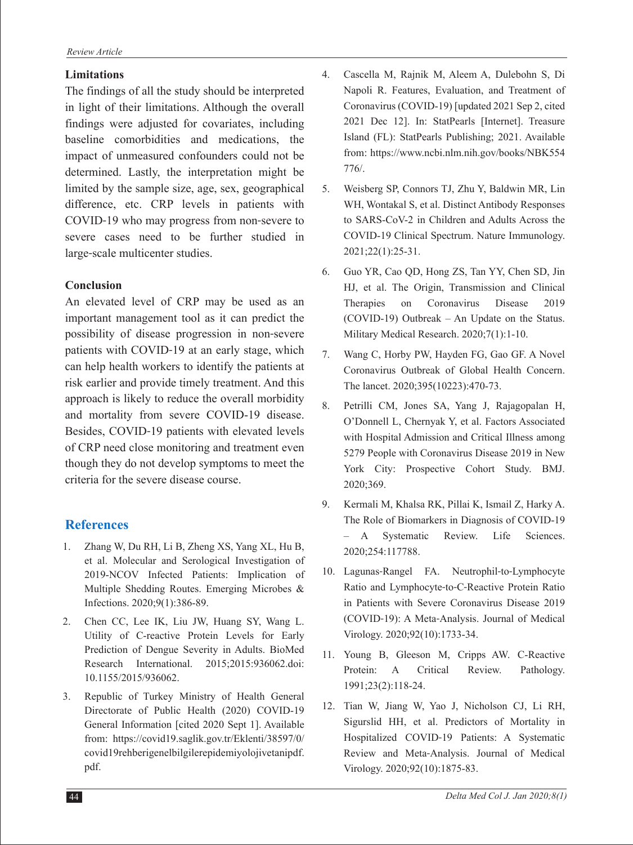#### **Limitations**

The findings of all the study should be interpreted in light of their limitations. Although the overall findings were adjusted for covariates, including baseline comorbidities and medications, the impact of unmeasured confounders could not be determined. Lastly, the interpretation might be limited by the sample size, age, sex, geographical difference, etc. CRP levels in patients with COVID‐19 who may progress from non‐severe to severe cases need to be further studied in large‐scale multicenter studies.

#### **Conclusion**

An elevated level of CRP may be used as an important management tool as it can predict the possibility of disease progression in non‐severe patients with COVID‐19 at an early stage, which can help health workers to identify the patients at risk earlier and provide timely treatment. And this approach is likely to reduce the overall morbidity and mortality from severe COVID-19 disease. Besides, COVID‐19 patients with elevated levels of CRP need close monitoring and treatment even though they do not develop symptoms to meet the criteria for the severe disease course.

# **References**

- 1. Zhang W, Du RH, Li B, Zheng XS, Yang XL, Hu B, et al. Molecular and Serological Investigation of 2019-NCOV Infected Patients: Implication of Multiple Shedding Routes. Emerging Microbes & Infections. 2020;9(1):386-89.
- 2. Chen CC, Lee IK, Liu JW, Huang SY, Wang L. Utility of C-reactive Protein Levels for Early Prediction of Dengue Severity in Adults. BioMed Research International. 2015;2015:936062.doi: 10.1155/2015/936062.
- 3. Republic of Turkey Ministry of Health General Directorate of Public Health (2020) COVID-19 General Information [cited 2020 Sept 1]. Available from: https://covid19.saglik.gov.tr/Eklenti/38597/0/ covid19rehberigenelbilgilerepidemiyolojivetanipdf. pdf.
- 4. Cascella M, Rajnik M, Aleem A, Dulebohn S, Di Napoli R. Features, Evaluation, and Treatment of Coronavirus (COVID-19) [updated 2021 Sep 2, cited 2021 Dec 12]. In: StatPearls [Internet]. Treasure Island (FL): StatPearls Publishing; 2021. Available from: https://www.ncbi.nlm.nih.gov/books/NBK554 776/.
- 5. Weisberg SP, Connors TJ, Zhu Y, Baldwin MR, Lin WH, Wontakal S, et al. Distinct Antibody Responses to SARS-CoV-2 in Children and Adults Across the COVID-19 Clinical Spectrum. Nature Immunology. 2021;22(1):25-31.
- 6. Guo YR, Cao QD, Hong ZS, Tan YY, Chen SD, Jin HJ, et al. The Origin, Transmission and Clinical Therapies on Coronavirus Disease 2019 (COVID-19) Outbreak – An Update on the Status. Military Medical Research. 2020;7(1):1-10.
- 7. Wang C, Horby PW, Hayden FG, Gao GF. A Novel Coronavirus Outbreak of Global Health Concern. The lancet. 2020;395(10223):470-73.
- 8. Petrilli CM, Jones SA, Yang J, Rajagopalan H, O'Donnell L, Chernyak Y, et al. Factors Associated with Hospital Admission and Critical Illness among 5279 People with Coronavirus Disease 2019 in New York City: Prospective Cohort Study. BMJ. 2020;369.
- 9. Kermali M, Khalsa RK, Pillai K, Ismail Z, Harky A. The Role of Biomarkers in Diagnosis of COVID-19 – A Systematic Review. Life Sciences. 2020;254:117788.
- 10. Lagunas‐Rangel FA. Neutrophil‐to‐Lymphocyte Ratio and Lymphocyte‐to‐C‐Reactive Protein Ratio in Patients with Severe Coronavirus Disease 2019 (COVID‐19): A Meta‐Analysis. Journal of Medical Virology. 2020;92(10):1733-34.
- 11. Young B, Gleeson M, Cripps AW. C-Reactive Protein: A Critical Review. Pathology. 1991;23(2):118-24.
- 12. Tian W, Jiang W, Yao J, Nicholson CJ, Li RH, Sigurslid HH, et al. Predictors of Mortality in Hospitalized COVID‐19 Patients: A Systematic Review and Meta‐Analysis. Journal of Medical Virology. 2020;92(10):1875-83.